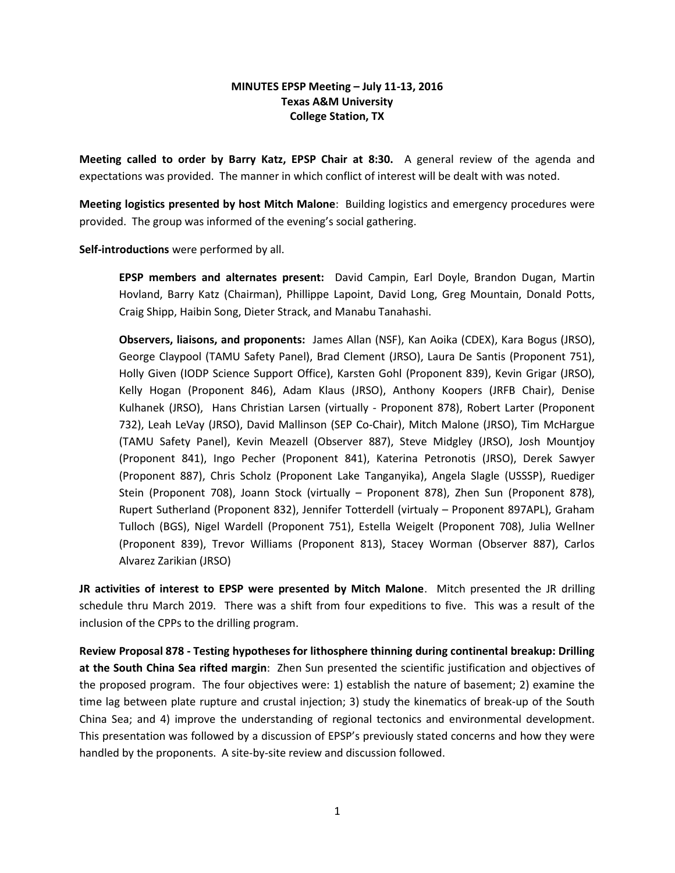## MINUTES EPSP Meeting – July 11-13, 2016 Texas A&M University College Station, TX

Meeting called to order by Barry Katz, EPSP Chair at 8:30. A general review of the agenda and expectations was provided. The manner in which conflict of interest will be dealt with was noted.

Meeting logistics presented by host Mitch Malone: Building logistics and emergency procedures were provided. The group was informed of the evening's social gathering.

Self-introductions were performed by all.

EPSP members and alternates present: David Campin, Earl Doyle, Brandon Dugan, Martin Hovland, Barry Katz (Chairman), Phillippe Lapoint, David Long, Greg Mountain, Donald Potts, Craig Shipp, Haibin Song, Dieter Strack, and Manabu Tanahashi.

Observers, liaisons, and proponents: James Allan (NSF), Kan Aoika (CDEX), Kara Bogus (JRSO), George Claypool (TAMU Safety Panel), Brad Clement (JRSO), Laura De Santis (Proponent 751), Holly Given (IODP Science Support Office), Karsten Gohl (Proponent 839), Kevin Grigar (JRSO), Kelly Hogan (Proponent 846), Adam Klaus (JRSO), Anthony Koopers (JRFB Chair), Denise Kulhanek (JRSO), Hans Christian Larsen (virtually - Proponent 878), Robert Larter (Proponent 732), Leah LeVay (JRSO), David Mallinson (SEP Co-Chair), Mitch Malone (JRSO), Tim McHargue (TAMU Safety Panel), Kevin Meazell (Observer 887), Steve Midgley (JRSO), Josh Mountjoy (Proponent 841), Ingo Pecher (Proponent 841), Katerina Petronotis (JRSO), Derek Sawyer (Proponent 887), Chris Scholz (Proponent Lake Tanganyika), Angela Slagle (USSSP), Ruediger Stein (Proponent 708), Joann Stock (virtually – Proponent 878), Zhen Sun (Proponent 878), Rupert Sutherland (Proponent 832), Jennifer Totterdell (virtualy – Proponent 897APL), Graham Tulloch (BGS), Nigel Wardell (Proponent 751), Estella Weigelt (Proponent 708), Julia Wellner (Proponent 839), Trevor Williams (Proponent 813), Stacey Worman (Observer 887), Carlos Alvarez Zarikian (JRSO)

JR activities of interest to EPSP were presented by Mitch Malone. Mitch presented the JR drilling schedule thru March 2019. There was a shift from four expeditions to five. This was a result of the inclusion of the CPPs to the drilling program.

Review Proposal 878 - Testing hypotheses for lithosphere thinning during continental breakup: Drilling at the South China Sea rifted margin: Zhen Sun presented the scientific justification and objectives of the proposed program. The four objectives were: 1) establish the nature of basement; 2) examine the time lag between plate rupture and crustal injection; 3) study the kinematics of break-up of the South China Sea; and 4) improve the understanding of regional tectonics and environmental development. This presentation was followed by a discussion of EPSP's previously stated concerns and how they were handled by the proponents. A site-by-site review and discussion followed.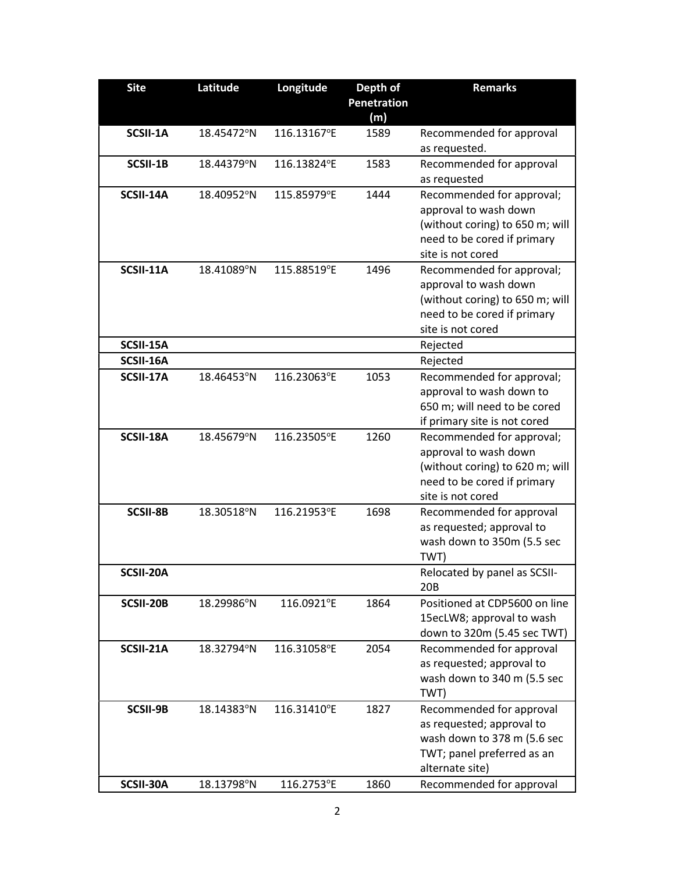| <b>Site</b>     | Latitude   | Longitude   | Depth of           | <b>Remarks</b>                                           |
|-----------------|------------|-------------|--------------------|----------------------------------------------------------|
|                 |            |             | <b>Penetration</b> |                                                          |
|                 |            |             | (m)                |                                                          |
| SCSII-1A        | 18.45472°N | 116.13167°E | 1589               | Recommended for approval                                 |
|                 |            |             |                    | as requested.                                            |
| SCSII-1B        | 18.44379°N | 116.13824°E | 1583               | Recommended for approval                                 |
| SCSII-14A       | 18.40952°N | 115.85979°E | 1444               | as requested                                             |
|                 |            |             |                    | Recommended for approval;<br>approval to wash down       |
|                 |            |             |                    | (without coring) to 650 m; will                          |
|                 |            |             |                    | need to be cored if primary                              |
|                 |            |             |                    | site is not cored                                        |
| SCSII-11A       | 18.41089°N | 115.88519°E | 1496               | Recommended for approval;                                |
|                 |            |             |                    | approval to wash down                                    |
|                 |            |             |                    | (without coring) to 650 m; will                          |
|                 |            |             |                    | need to be cored if primary                              |
|                 |            |             |                    | site is not cored                                        |
| SCSII-15A       |            |             |                    | Rejected                                                 |
| SCSII-16A       |            |             |                    | Rejected                                                 |
| SCSII-17A       | 18.46453°N | 116.23063°E | 1053               | Recommended for approval;                                |
|                 |            |             |                    | approval to wash down to                                 |
|                 |            |             |                    | 650 m; will need to be cored                             |
|                 |            |             |                    | if primary site is not cored                             |
| SCSII-18A       | 18.45679°N | 116.23505°E | 1260               | Recommended for approval;                                |
|                 |            |             |                    | approval to wash down                                    |
|                 |            |             |                    | (without coring) to 620 m; will                          |
|                 |            |             |                    | need to be cored if primary                              |
|                 |            |             |                    | site is not cored                                        |
| <b>SCSII-8B</b> | 18.30518°N | 116.21953°E | 1698               | Recommended for approval                                 |
|                 |            |             |                    | as requested; approval to                                |
|                 |            |             |                    | wash down to 350m (5.5 sec                               |
|                 |            |             |                    | TWT)                                                     |
| SCSII-20A       |            |             |                    | Relocated by panel as SCSII-                             |
|                 |            |             |                    | 20B                                                      |
| SCSII-20B       | 18.29986°N | 116.0921°E  | 1864               | Positioned at CDP5600 on line                            |
|                 |            |             |                    | 15ecLW8; approval to wash<br>down to 320m (5.45 sec TWT) |
| SCSII-21A       | 18.32794°N | 116.31058°E | 2054               | Recommended for approval                                 |
|                 |            |             |                    | as requested; approval to                                |
|                 |            |             |                    | wash down to 340 m (5.5 sec                              |
|                 |            |             |                    | TWT)                                                     |
| SCSII-9B        | 18.14383°N | 116.31410°E | 1827               | Recommended for approval                                 |
|                 |            |             |                    | as requested; approval to                                |
|                 |            |             |                    | wash down to 378 m (5.6 sec                              |
|                 |            |             |                    | TWT; panel preferred as an                               |
|                 |            |             |                    | alternate site)                                          |
| SCSII-30A       | 18.13798°N | 116.2753°E  | 1860               | Recommended for approval                                 |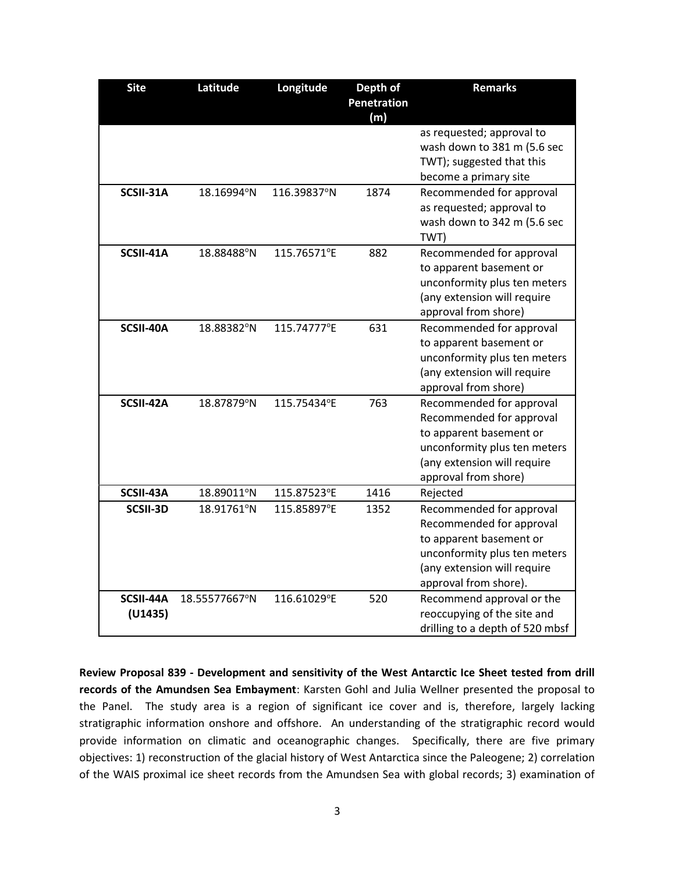| <b>Site</b>          | Latitude      | Longitude   | Depth of<br>Penetration<br>(m) | <b>Remarks</b>                                                                                                                                                          |
|----------------------|---------------|-------------|--------------------------------|-------------------------------------------------------------------------------------------------------------------------------------------------------------------------|
|                      |               |             |                                | as requested; approval to<br>wash down to 381 m (5.6 sec<br>TWT); suggested that this<br>become a primary site                                                          |
| SCSII-31A            | 18.16994°N    | 116.39837°N | 1874                           | Recommended for approval<br>as requested; approval to<br>wash down to 342 m (5.6 sec<br>TWT)                                                                            |
| SCSII-41A            | 18.88488°N    | 115.76571°E | 882                            | Recommended for approval<br>to apparent basement or<br>unconformity plus ten meters<br>(any extension will require<br>approval from shore)                              |
| SCSII-40A            | 18.88382°N    | 115.74777°E | 631                            | Recommended for approval<br>to apparent basement or<br>unconformity plus ten meters<br>(any extension will require<br>approval from shore)                              |
| SCSII-42A            | 18.87879°N    | 115.75434°E | 763                            | Recommended for approval<br>Recommended for approval<br>to apparent basement or<br>unconformity plus ten meters<br>(any extension will require<br>approval from shore)  |
| SCSII-43A            | 18.89011°N    | 115.87523°E | 1416                           | Rejected                                                                                                                                                                |
| SCSII-3D             | 18.91761°N    | 115.85897°E | 1352                           | Recommended for approval<br>Recommended for approval<br>to apparent basement or<br>unconformity plus ten meters<br>(any extension will require<br>approval from shore). |
| SCSII-44A<br>(U1435) | 18.55577667°N | 116.61029°E | 520                            | Recommend approval or the<br>reoccupying of the site and<br>drilling to a depth of 520 mbsf                                                                             |

Review Proposal 839 - Development and sensitivity of the West Antarctic Ice Sheet tested from drill records of the Amundsen Sea Embayment: Karsten Gohl and Julia Wellner presented the proposal to the Panel. The study area is a region of significant ice cover and is, therefore, largely lacking stratigraphic information onshore and offshore. An understanding of the stratigraphic record would provide information on climatic and oceanographic changes. Specifically, there are five primary objectives: 1) reconstruction of the glacial history of West Antarctica since the Paleogene; 2) correlation of the WAIS proximal ice sheet records from the Amundsen Sea with global records; 3) examination of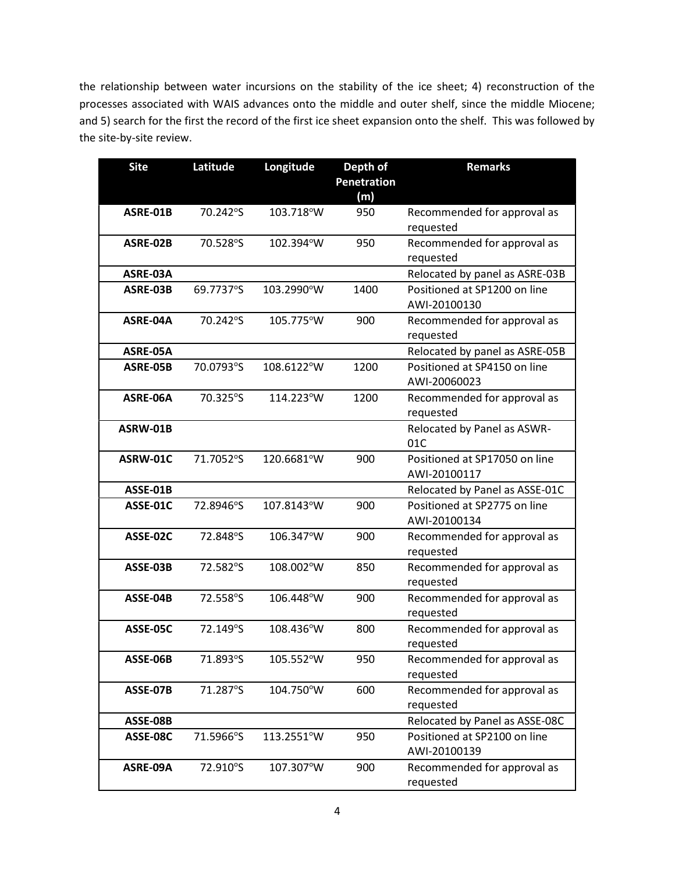the relationship between water incursions on the stability of the ice sheet; 4) reconstruction of the processes associated with WAIS advances onto the middle and outer shelf, since the middle Miocene; and 5) search for the first the record of the first ice sheet expansion onto the shelf. This was followed by the site-by-site review.

| <b>Site</b> | Latitude  | Longitude  | Depth of<br><b>Penetration</b><br>(m) | <b>Remarks</b>                                |
|-------------|-----------|------------|---------------------------------------|-----------------------------------------------|
| ASRE-01B    | 70.242°S  | 103.718°W  | 950                                   | Recommended for approval as<br>requested      |
| ASRE-02B    | 70.528°S  | 102.394°W  | 950                                   | Recommended for approval as<br>requested      |
| ASRE-03A    |           |            |                                       | Relocated by panel as ASRE-03B                |
| ASRE-03B    | 69.7737°S | 103.2990°W | 1400                                  | Positioned at SP1200 on line<br>AWI-20100130  |
| ASRE-04A    | 70.242°S  | 105.775°W  | 900                                   | Recommended for approval as<br>requested      |
| ASRE-05A    |           |            |                                       | Relocated by panel as ASRE-05B                |
| ASRE-05B    | 70.0793°S | 108.6122°W | 1200                                  | Positioned at SP4150 on line<br>AWI-20060023  |
| ASRE-06A    | 70.325°S  | 114.223°W  | 1200                                  | Recommended for approval as<br>requested      |
| ASRW-01B    |           |            |                                       | Relocated by Panel as ASWR-<br>01C            |
| ASRW-01C    | 71.7052°S | 120.6681°W | 900                                   | Positioned at SP17050 on line<br>AWI-20100117 |
| ASSE-01B    |           |            |                                       | Relocated by Panel as ASSE-01C                |
| ASSE-01C    | 72.8946°S | 107.8143°W | 900                                   | Positioned at SP2775 on line<br>AWI-20100134  |
| ASSE-02C    | 72.848°S  | 106.347°W  | 900                                   | Recommended for approval as<br>requested      |
| ASSE-03B    | 72.582°S  | 108.002°W  | 850                                   | Recommended for approval as<br>requested      |
| ASSE-04B    | 72.558°S  | 106.448°W  | 900                                   | Recommended for approval as<br>requested      |
| ASSE-05C    | 72.149°S  | 108.436°W  | 800                                   | Recommended for approval as<br>requested      |
| ASSE-06B    | 71.893°S  | 105.552°W  | 950                                   | Recommended for approval as<br>requested      |
| ASSE-07B    | 71.287°S  | 104.750°W  | 600                                   | Recommended for approval as<br>requested      |
| ASSE-08B    |           |            |                                       | Relocated by Panel as ASSE-08C                |
| ASSE-08C    | 71.5966°S | 113.2551°W | 950                                   | Positioned at SP2100 on line<br>AWI-20100139  |
| ASRE-09A    | 72.910°S  | 107.307°W  | 900                                   | Recommended for approval as<br>requested      |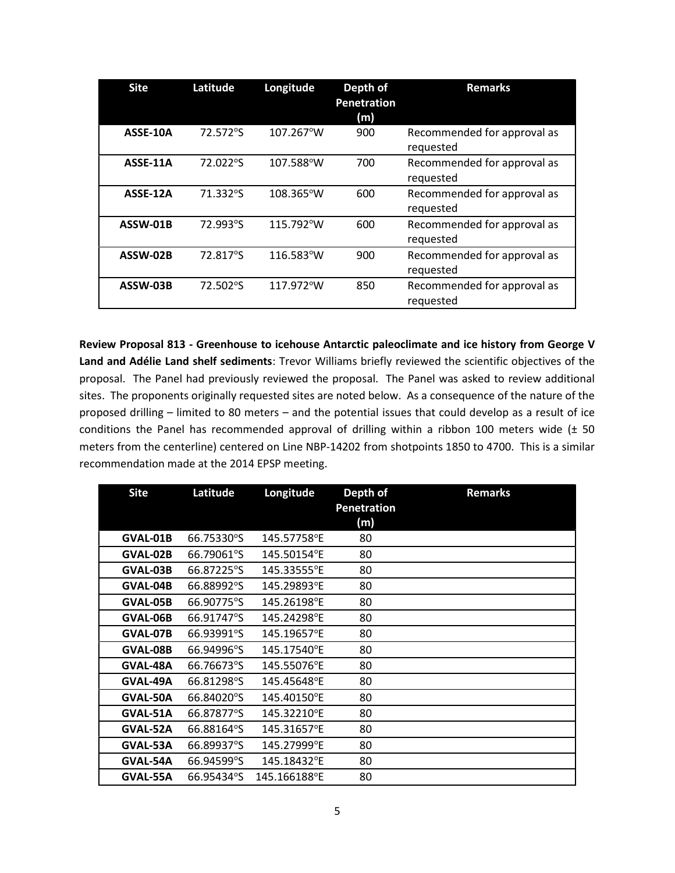| <b>Site</b> | Latitude | Longitude           | Depth of<br><b>Penetration</b><br>(m) | <b>Remarks</b>                           |
|-------------|----------|---------------------|---------------------------------------|------------------------------------------|
| ASSE-10A    | 72.572°S | 107.267°W           | 900                                   | Recommended for approval as<br>requested |
| ASSE-11A    | 72.022°S | 107.588°W           | 700                                   | Recommended for approval as<br>requested |
| ASSE-12A    | 71.332°S | 108.365°W           | 600                                   | Recommended for approval as<br>requested |
| ASSW-01B    | 72.993°S | 115.792°W           | 600                                   | Recommended for approval as<br>requested |
| ASSW-02B    | 72.817°S | $116.583^{\circ}$ W | 900                                   | Recommended for approval as<br>requested |
| ASSW-03B    | 72.502°S | 117.972°W           | 850                                   | Recommended for approval as<br>requested |

Review Proposal 813 - Greenhouse to icehouse Antarctic paleoclimate and ice history from George V Land and Adélie Land shelf sediments: Trevor Williams briefly reviewed the scientific objectives of the proposal. The Panel had previously reviewed the proposal. The Panel was asked to review additional sites. The proponents originally requested sites are noted below. As a consequence of the nature of the proposed drilling – limited to 80 meters – and the potential issues that could develop as a result of ice conditions the Panel has recommended approval of drilling within a ribbon 100 meters wide (± 50 meters from the centerline) centered on Line NBP-14202 from shotpoints 1850 to 4700. This is a similar recommendation made at the 2014 EPSP meeting.

| <b>Site</b> | Latitude   | Longitude    | Depth of<br><b>Penetration</b><br>(m) | <b>Remarks</b> |
|-------------|------------|--------------|---------------------------------------|----------------|
| GVAL-01B    | 66.75330°S | 145.57758°E  | 80                                    |                |
| GVAL-02B    | 66.79061°S | 145.50154°E  | 80                                    |                |
| GVAL-03B    | 66.87225°S | 145.33555°E  | 80                                    |                |
| GVAL-04B    | 66.88992°S | 145.29893°E  | 80                                    |                |
| GVAL-05B    | 66.90775°S | 145.26198°E  | 80                                    |                |
| GVAL-06B    | 66.91747°S | 145.24298°E  | 80                                    |                |
| GVAL-07B    | 66.93991°S | 145.19657°E  | 80                                    |                |
| GVAL-08B    | 66.94996°S | 145.17540°E  | 80                                    |                |
| GVAL-48A    | 66.76673°S | 145.55076°E  | 80                                    |                |
| GVAL-49A    | 66.81298°S | 145.45648°E  | 80                                    |                |
| GVAL-50A    | 66.84020°S | 145.40150°E  | 80                                    |                |
| GVAL-51A    | 66.87877°S | 145.32210°E  | 80                                    |                |
| GVAL-52A    | 66.88164°S | 145.31657°E  | 80                                    |                |
| GVAL-53A    | 66.89937°S | 145.27999°E  | 80                                    |                |
| GVAL-54A    | 66.94599°S | 145.18432°E  | 80                                    |                |
| GVAL-55A    | 66.95434°S | 145.166188°E | 80                                    |                |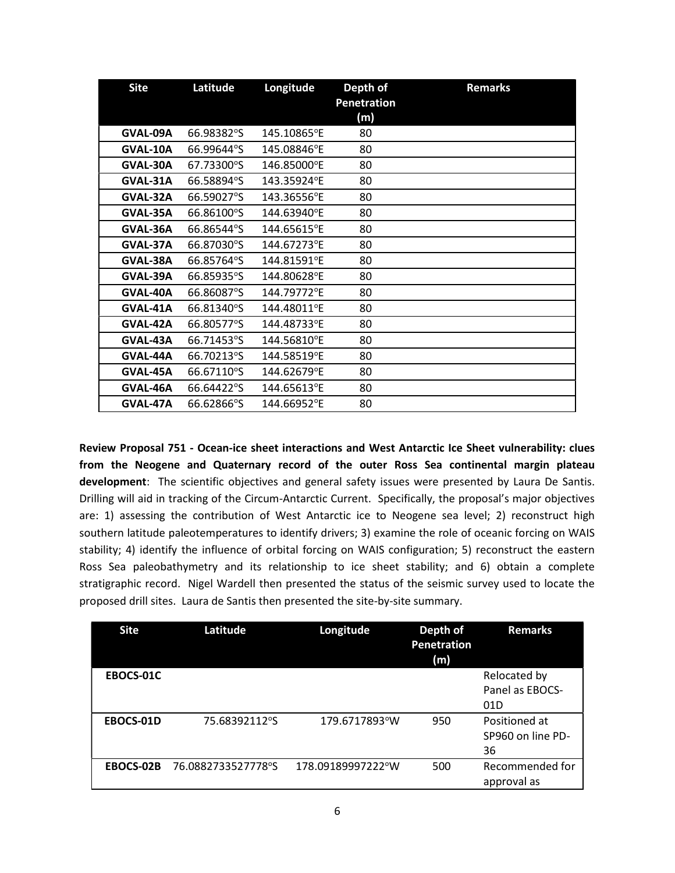| <b>Site</b> | Latitude   | Longitude   | Depth of<br><b>Penetration</b><br>(m) | <b>Remarks</b> |
|-------------|------------|-------------|---------------------------------------|----------------|
| GVAL-09A    | 66.98382°S | 145.10865°E | 80                                    |                |
| GVAL-10A    | 66.99644°S | 145.08846°E | 80                                    |                |
| GVAL-30A    | 67.73300°S | 146.85000°E | 80                                    |                |
| GVAL-31A    | 66.58894°S | 143.35924°E | 80                                    |                |
| GVAL-32A    | 66.59027°S | 143.36556°E | 80                                    |                |
| GVAL-35A    | 66.86100°S | 144.63940°E | 80                                    |                |
| GVAL-36A    | 66.86544°S | 144.65615°E | 80                                    |                |
| GVAL-37A    | 66.87030°S | 144.67273°E | 80                                    |                |
| GVAL-38A    | 66.85764°S | 144.81591°E | 80                                    |                |
| GVAL-39A    | 66.85935°S | 144.80628°E | 80                                    |                |
| GVAL-40A    | 66.86087°S | 144.79772°E | 80                                    |                |
| GVAL-41A    | 66.81340°S | 144.48011°E | 80                                    |                |
| GVAL-42A    | 66.80577°S | 144.48733°E | 80                                    |                |
| GVAL-43A    | 66.71453°S | 144.56810°E | 80                                    |                |
| GVAL-44A    | 66.70213°S | 144.58519°E | 80                                    |                |
| GVAL-45A    | 66.67110°S | 144.62679°E | 80                                    |                |
| GVAL-46A    | 66.64422°S | 144.65613°E | 80                                    |                |
| GVAL-47A    | 66.62866°S | 144.66952°E | 80                                    |                |

Review Proposal 751 - Ocean-ice sheet interactions and West Antarctic Ice Sheet vulnerability: clues from the Neogene and Quaternary record of the outer Ross Sea continental margin plateau development: The scientific objectives and general safety issues were presented by Laura De Santis. Drilling will aid in tracking of the Circum-Antarctic Current. Specifically, the proposal's major objectives are: 1) assessing the contribution of West Antarctic ice to Neogene sea level; 2) reconstruct high southern latitude paleotemperatures to identify drivers; 3) examine the role of oceanic forcing on WAIS stability; 4) identify the influence of orbital forcing on WAIS configuration; 5) reconstruct the eastern Ross Sea paleobathymetry and its relationship to ice sheet stability; and 6) obtain a complete stratigraphic record. Nigel Wardell then presented the status of the seismic survey used to locate the proposed drill sites. Laura de Santis then presented the site-by-site summary.

| <b>Site</b> | Latitude           | Longitude         | Depth of<br><b>Penetration</b><br>(m) | <b>Remarks</b>    |
|-------------|--------------------|-------------------|---------------------------------------|-------------------|
| EBOCS-01C   |                    |                   |                                       | Relocated by      |
|             |                    |                   |                                       | Panel as EBOCS-   |
|             |                    |                   |                                       | 01D               |
| EBOCS-01D   | 75.68392112°S      | 179.6717893°W     | 950                                   | Positioned at     |
|             |                    |                   |                                       | SP960 on line PD- |
|             |                    |                   |                                       | 36                |
| EBOCS-02B   | 76.0882733527778°S | 178.09189997222°W | 500                                   | Recommended for   |
|             |                    |                   |                                       | approval as       |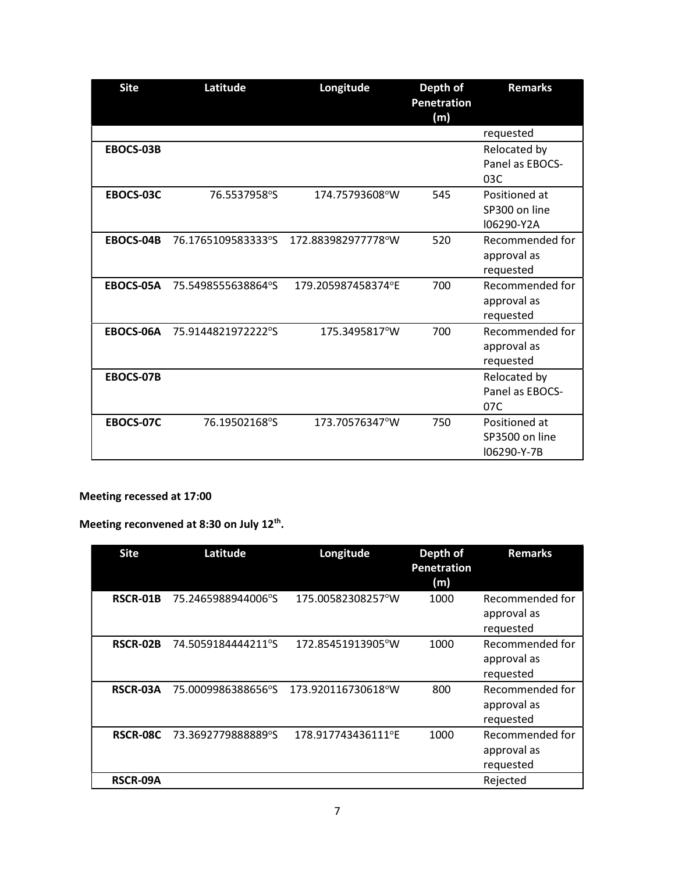| <b>Site</b> | Latitude            | Longitude          | Depth of<br><b>Penetration</b><br>(m) | <b>Remarks</b>                                 |
|-------------|---------------------|--------------------|---------------------------------------|------------------------------------------------|
|             |                     |                    |                                       | requested                                      |
| EBOCS-03B   |                     |                    |                                       | Relocated by<br>Panel as EBOCS-<br>03C         |
| EBOCS-03C   | 76.5537958°S        | 174.75793608°W     | 545                                   | Positioned at<br>SP300 on line<br>I06290-Y2A   |
| EBOCS-04B   | 76.17651095833333°S | 172.883982977778°W | 520                                   | Recommended for<br>approval as<br>requested    |
| EBOCS-05A   | 75.5498555638864°S  | 179.205987458374°E | 700                                   | Recommended for<br>approval as<br>requested    |
| EBOCS-06A   | 75.9144821972222°S  | 175.3495817°W      | 700                                   | Recommended for<br>approval as<br>requested    |
| EBOCS-07B   |                     |                    |                                       | Relocated by<br>Panel as EBOCS-<br>07C         |
| EBOCS-07C   | 76.19502168°S       | 173.70576347°W     | 750                                   | Positioned at<br>SP3500 on line<br>I06290-Y-7B |

## Meeting recessed at 17:00

Meeting reconvened at 8:30 on July 12<sup>th</sup>.

| <b>Site</b>     | Latitude           | Longitude          | Depth of<br>Penetration<br>(m) | <b>Remarks</b>                              |
|-----------------|--------------------|--------------------|--------------------------------|---------------------------------------------|
| <b>RSCR-01B</b> | 75.2465988944006°S | 175.00582308257°W  | 1000                           | Recommended for<br>approval as<br>requested |
| <b>RSCR-02B</b> | 74.5059184444211°S | 172.85451913905°W  | 1000                           | Recommended for<br>approval as<br>requested |
| <b>RSCR-03A</b> | 75.0009986388656°S | 173.920116730618°W | 800                            | Recommended for<br>approval as<br>requested |
| RSCR-08C        | 73.3692779888889°S | 178.917743436111°E | 1000                           | Recommended for<br>approval as<br>requested |
| RSCR-09A        |                    |                    |                                | Rejected                                    |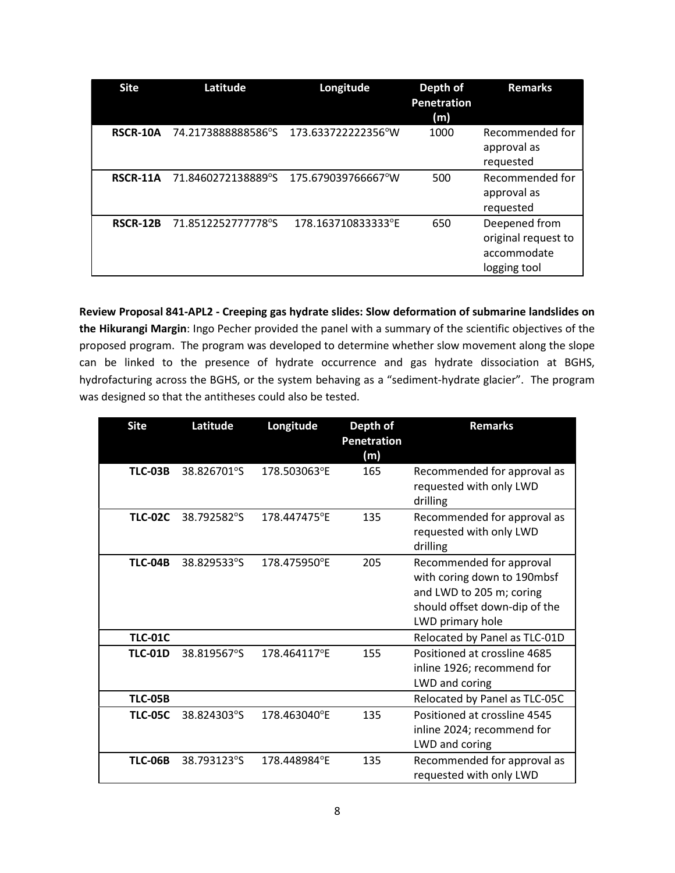| <b>Site</b>     | Latitude           | Longitude           | Depth of<br><b>Penetration</b><br>(m) | <b>Remarks</b>                                                      |
|-----------------|--------------------|---------------------|---------------------------------------|---------------------------------------------------------------------|
| RSCR-10A        | 74.2173888888586°S | 173.633722222356°W  | 1000                                  | Recommended for<br>approval as<br>requested                         |
| RSCR-11A        | 71.8460272138889°S | 175.679039766667°W  | 500                                   | Recommended for<br>approval as<br>requested                         |
| <b>RSCR-12B</b> | 71.8512252777778°S | 178.1637108333333°E | 650                                   | Deepened from<br>original request to<br>accommodate<br>logging tool |

Review Proposal 841-APL2 - Creeping gas hydrate slides: Slow deformation of submarine landslides on the Hikurangi Margin: Ingo Pecher provided the panel with a summary of the scientific objectives of the proposed program. The program was developed to determine whether slow movement along the slope can be linked to the presence of hydrate occurrence and gas hydrate dissociation at BGHS, hydrofacturing across the BGHS, or the system behaving as a "sediment-hydrate glacier". The program was designed so that the antitheses could also be tested.

| <b>Site</b>    | Latitude    | Longitude    | Depth of<br><b>Penetration</b><br>(m) | <b>Remarks</b>                                                                                                                           |
|----------------|-------------|--------------|---------------------------------------|------------------------------------------------------------------------------------------------------------------------------------------|
| <b>TLC-03B</b> | 38.826701°S | 178.503063°E | 165                                   | Recommended for approval as<br>requested with only LWD<br>drilling                                                                       |
| <b>TLC-02C</b> | 38.792582°S | 178.447475°E | 135                                   | Recommended for approval as<br>requested with only LWD<br>drilling                                                                       |
| <b>TLC-04B</b> | 38.829533°S | 178.475950°E | 205                                   | Recommended for approval<br>with coring down to 190mbsf<br>and LWD to 205 m; coring<br>should offset down-dip of the<br>LWD primary hole |
| <b>TLC-01C</b> |             |              |                                       | Relocated by Panel as TLC-01D                                                                                                            |
| <b>TLC-01D</b> | 38.819567°S | 178.464117°E | 155                                   | Positioned at crossline 4685<br>inline 1926; recommend for<br>LWD and coring                                                             |
| <b>TLC-05B</b> |             |              |                                       | Relocated by Panel as TLC-05C                                                                                                            |
| <b>TLC-05C</b> | 38.824303°S | 178.463040°E | 135                                   | Positioned at crossline 4545<br>inline 2024; recommend for<br>LWD and coring                                                             |
| <b>TLC-06B</b> | 38.793123°S | 178.448984°E | 135                                   | Recommended for approval as<br>requested with only LWD                                                                                   |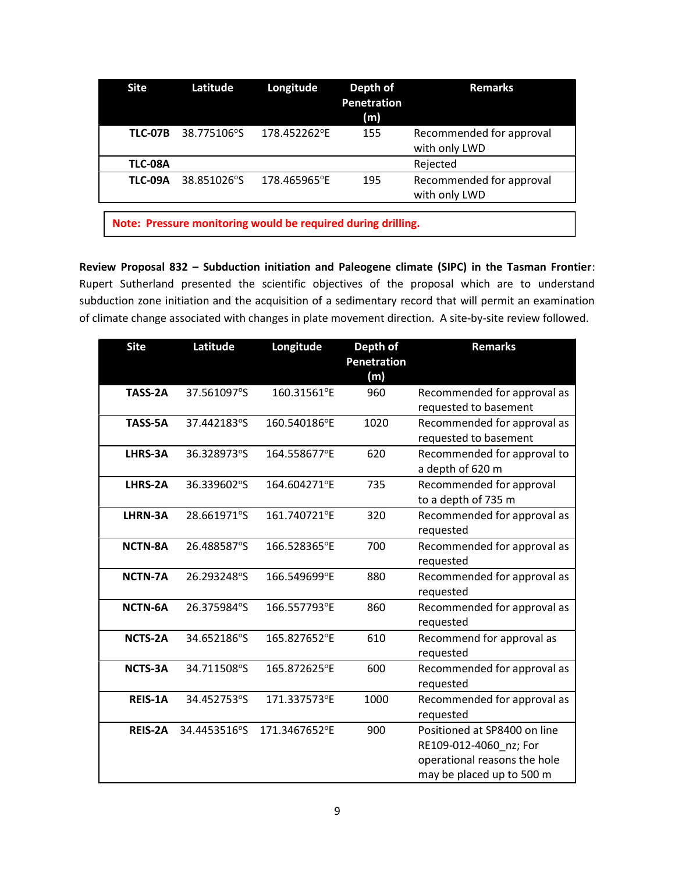| <b>Site</b>    | Latitude    | Longitude                                                    | Depth of<br><b>Penetration</b><br>(m) | <b>Remarks</b>                            |  |  |
|----------------|-------------|--------------------------------------------------------------|---------------------------------------|-------------------------------------------|--|--|
| <b>TLC-07B</b> | 38.775106°S | 178.452262°E                                                 | 155                                   | Recommended for approval<br>with only LWD |  |  |
| <b>TLC-08A</b> |             |                                                              |                                       | Rejected                                  |  |  |
| <b>TLC-09A</b> | 38.851026°S | 178.465965°E                                                 | 195                                   | Recommended for approval<br>with only LWD |  |  |
|                |             |                                                              |                                       |                                           |  |  |
|                |             | Note: Pressure monitoring would be required during drilling. |                                       |                                           |  |  |

Review Proposal 832 – Subduction initiation and Paleogene climate (SIPC) in the Tasman Frontier: Rupert Sutherland presented the scientific objectives of the proposal which are to understand subduction zone initiation and the acquisition of a sedimentary record that will permit an examination of climate change associated with changes in plate movement direction. A site-by-site review followed.

| <b>Site</b>    | Latitude     | Longitude     | Depth of<br><b>Penetration</b><br>(m) | <b>Remarks</b>                                                                                                      |
|----------------|--------------|---------------|---------------------------------------|---------------------------------------------------------------------------------------------------------------------|
| TASS-2A        | 37.561097°S  | 160.31561°E   | 960                                   | Recommended for approval as<br>requested to basement                                                                |
| TASS-5A        | 37.442183°S  | 160.540186°E  | 1020                                  | Recommended for approval as<br>requested to basement                                                                |
| LHRS-3A        | 36.328973°S  | 164.558677°E  | 620                                   | Recommended for approval to<br>a depth of 620 m                                                                     |
| LHRS-2A        | 36.339602°S  | 164.604271°E  | 735                                   | Recommended for approval<br>to a depth of 735 m                                                                     |
| LHRN-3A        | 28.661971°S  | 161.740721°E  | 320                                   | Recommended for approval as<br>requested                                                                            |
| <b>NCTN-8A</b> | 26.488587°S  | 166.528365°E  | 700                                   | Recommended for approval as<br>requested                                                                            |
| <b>NCTN-7A</b> | 26.293248°S  | 166.549699°E  | 880                                   | Recommended for approval as<br>requested                                                                            |
| NCTN-6A        | 26.375984°S  | 166.557793°E  | 860                                   | Recommended for approval as<br>requested                                                                            |
| <b>NCTS-2A</b> | 34.652186°S  | 165.827652°E  | 610                                   | Recommend for approval as<br>requested                                                                              |
| <b>NCTS-3A</b> | 34.711508°S  | 165.872625°E  | 600                                   | Recommended for approval as<br>requested                                                                            |
| REIS-1A        | 34.452753°S  | 171.337573°E  | 1000                                  | Recommended for approval as<br>requested                                                                            |
| <b>REIS-2A</b> | 34.4453516°S | 171.3467652°E | 900                                   | Positioned at SP8400 on line<br>RE109-012-4060_nz; For<br>operational reasons the hole<br>may be placed up to 500 m |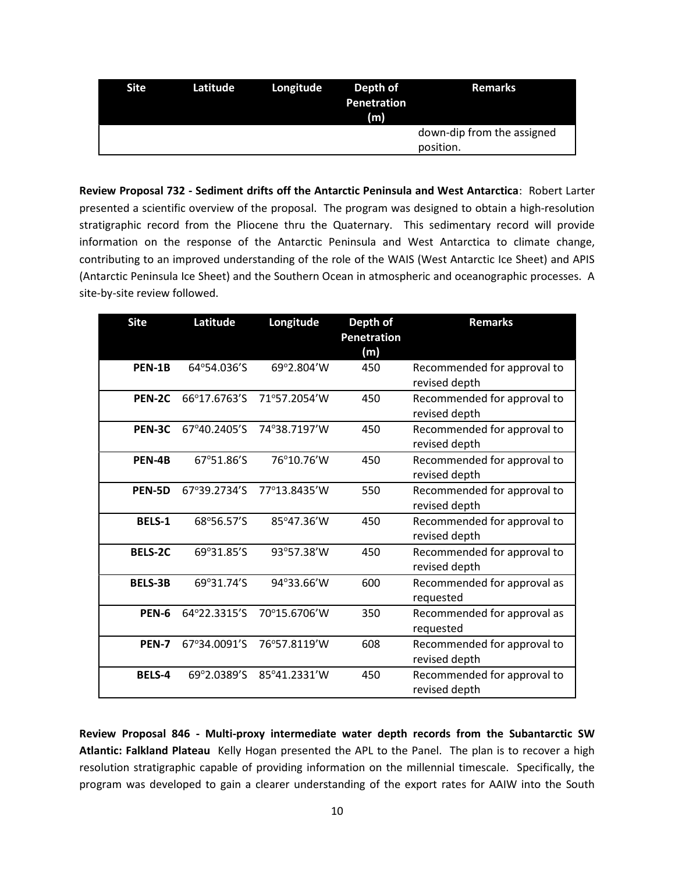| <b>Site</b> | Latitude | Longitude | Depth of<br><b>Penetration</b><br>(m) | <b>Remarks</b>                          |
|-------------|----------|-----------|---------------------------------------|-----------------------------------------|
|             |          |           |                                       | down-dip from the assigned<br>position. |

Review Proposal 732 - Sediment drifts off the Antarctic Peninsula and West Antarctica: Robert Larter presented a scientific overview of the proposal. The program was designed to obtain a high-resolution stratigraphic record from the Pliocene thru the Quaternary. This sedimentary record will provide information on the response of the Antarctic Peninsula and West Antarctica to climate change, contributing to an improved understanding of the role of the WAIS (West Antarctic Ice Sheet) and APIS (Antarctic Peninsula Ice Sheet) and the Southern Ocean in atmospheric and oceanographic processes. A site-by-site review followed.

| <b>Site</b>    | Latitude     | Longitude    | Depth of<br><b>Penetration</b><br>(m) | <b>Remarks</b>                               |
|----------------|--------------|--------------|---------------------------------------|----------------------------------------------|
| PEN-1B         | 64°54.036'S  | 69°2.804'W   | 450                                   | Recommended for approval to<br>revised depth |
| PEN-2C         | 66°17.6763'S | 71°57.2054'W | 450                                   | Recommended for approval to<br>revised depth |
| PEN-3C         | 67°40.2405'S | 74°38.7197'W | 450                                   | Recommended for approval to<br>revised depth |
| PEN-4B         | 67°51.86'S   | 76°10.76'W   | 450                                   | Recommended for approval to<br>revised depth |
| PEN-5D         | 67°39.2734'S | 77°13.8435'W | 550                                   | Recommended for approval to<br>revised depth |
| <b>BELS-1</b>  | 68°56.57'S   | 85°47.36'W   | 450                                   | Recommended for approval to<br>revised depth |
| <b>BELS-2C</b> | 69°31.85'S   | 93°57.38'W   | 450                                   | Recommended for approval to<br>revised depth |
| <b>BELS-3B</b> | 69°31.74'S   | 94°33.66'W   | 600                                   | Recommended for approval as<br>requested     |
| PEN-6          | 64°22.3315'S | 70°15.6706'W | 350                                   | Recommended for approval as<br>requested     |
| PEN-7          | 67°34.0091'S | 76°57.8119'W | 608                                   | Recommended for approval to<br>revised depth |
| <b>BELS-4</b>  | 69°2.0389'S  | 85°41.2331'W | 450                                   | Recommended for approval to<br>revised depth |

Review Proposal 846 - Multi-proxy intermediate water depth records from the Subantarctic SW Atlantic: Falkland Plateau Kelly Hogan presented the APL to the Panel. The plan is to recover a high resolution stratigraphic capable of providing information on the millennial timescale. Specifically, the program was developed to gain a clearer understanding of the export rates for AAIW into the South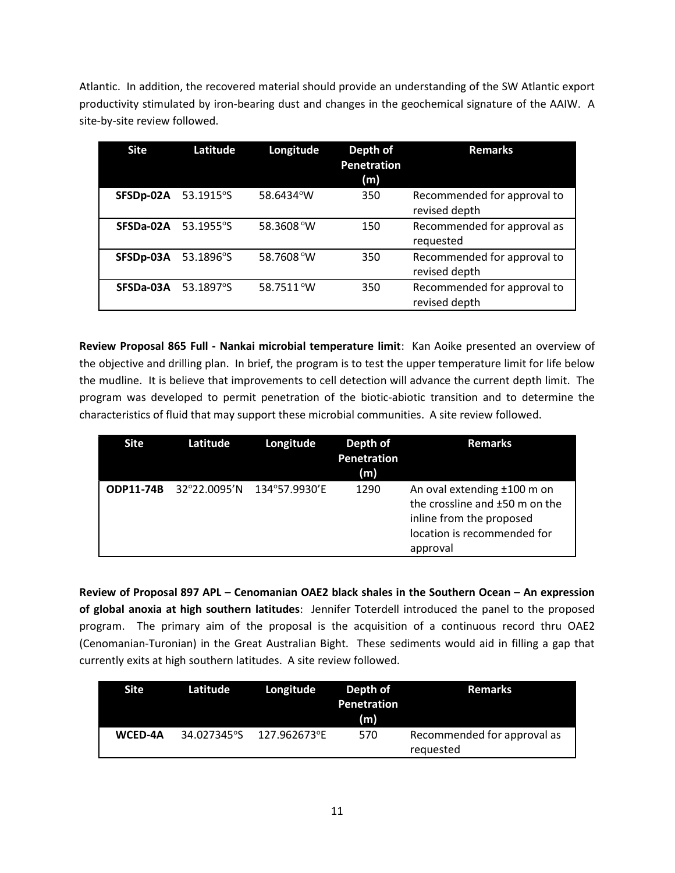Atlantic. In addition, the recovered material should provide an understanding of the SW Atlantic export productivity stimulated by iron-bearing dust and changes in the geochemical signature of the AAIW. A site-by-site review followed.

| Site      | Latitude           | Longitude  | Depth of<br>Penetration<br>(m) | <b>Remarks</b>                               |
|-----------|--------------------|------------|--------------------------------|----------------------------------------------|
| SFSDp-02A | 53.1915°S          | 58.6434°W  | 350                            | Recommended for approval to<br>revised depth |
| SFSDa-02A | $53.1955^{\circ}S$ | 58.3608 °W | 150                            | Recommended for approval as<br>requested     |
| SFSDp-03A | 53.1896°S          | 58.7608°W  | 350                            | Recommended for approval to<br>revised depth |
| SFSDa-03A | 53.1897°S          | 58.7511°W  | 350                            | Recommended for approval to<br>revised depth |

Review Proposal 865 Full - Nankai microbial temperature limit: Kan Aoike presented an overview of the objective and drilling plan. In brief, the program is to test the upper temperature limit for life below the mudline. It is believe that improvements to cell detection will advance the current depth limit. The program was developed to permit penetration of the biotic-abiotic transition and to determine the characteristics of fluid that may support these microbial communities. A site review followed.

| <b>Site</b>      | Latitude     | Longitude     | Depth of<br><b>Penetration</b><br>(m) | <b>Remarks</b>                                                                                                                       |
|------------------|--------------|---------------|---------------------------------------|--------------------------------------------------------------------------------------------------------------------------------------|
| <b>ODP11-74B</b> | 32°22.0095'N | 134°57.9930'E | 1290                                  | An oval extending ±100 m on<br>the crossline and ±50 m on the<br>inline from the proposed<br>location is recommended for<br>approval |

Review of Proposal 897 APL – Cenomanian OAE2 black shales in the Southern Ocean – An expression of global anoxia at high southern latitudes: Jennifer Toterdell introduced the panel to the proposed program. The primary aim of the proposal is the acquisition of a continuous record thru OAE2 (Cenomanian-Turonian) in the Great Australian Bight. These sediments would aid in filling a gap that currently exits at high southern latitudes. A site review followed.

| Site '         | Latitude l  | Longitude    | Depth of<br><b>Penetration</b><br>(m) | <b>Remarks</b>                           |
|----------------|-------------|--------------|---------------------------------------|------------------------------------------|
| <b>WCED-4A</b> | 34.027345°S | 127.962673°E | 570                                   | Recommended for approval as<br>requested |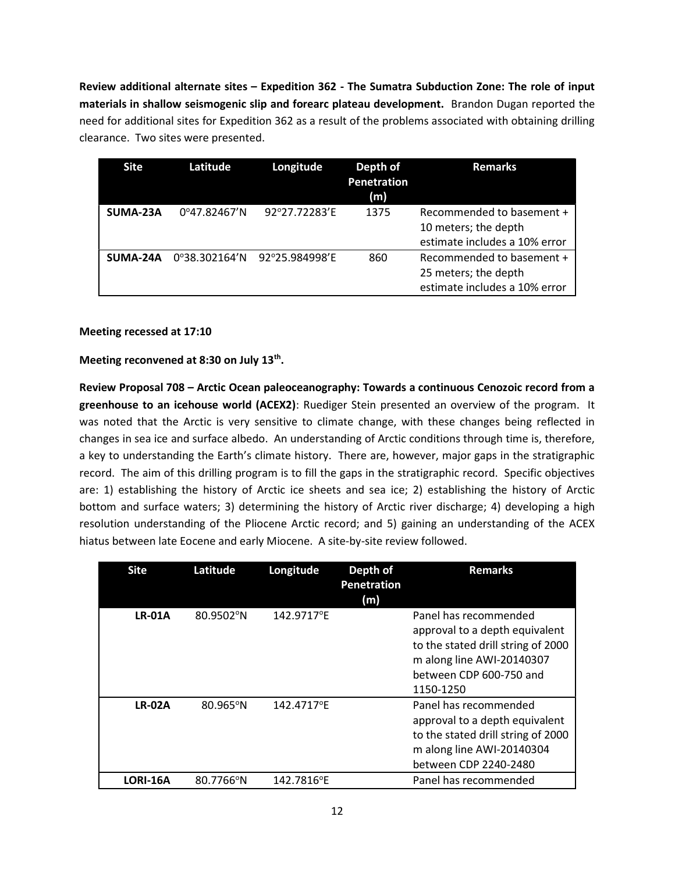Review additional alternate sites – Expedition 362 - The Sumatra Subduction Zone: The role of input materials in shallow seismogenic slip and forearc plateau development. Brandon Dugan reported the need for additional sites for Expedition 362 as a result of the problems associated with obtaining drilling clearance. Two sites were presented.

| <b>Site</b> | Latitude                | Longitude      | Depth of<br><b>Penetration</b><br>(m) | <b>Remarks</b>                                                                     |
|-------------|-------------------------|----------------|---------------------------------------|------------------------------------------------------------------------------------|
| SUMA-23A    | $0^{\circ}$ 47.82467'N  | 92°27.72283'E  | 1375                                  | Recommended to basement +<br>10 meters; the depth<br>estimate includes a 10% error |
| SUMA-24A    | $0^{\circ}38.302164'$ N | 92°25.984998'E | 860                                   | Recommended to basement +<br>25 meters; the depth<br>estimate includes a 10% error |

## Meeting recessed at 17:10

Meeting reconvened at 8:30 on July 13<sup>th</sup>.

Review Proposal 708 – Arctic Ocean paleoceanography: Towards a continuous Cenozoic record from a greenhouse to an icehouse world (ACEX2): Ruediger Stein presented an overview of the program. It was noted that the Arctic is very sensitive to climate change, with these changes being reflected in changes in sea ice and surface albedo. An understanding of Arctic conditions through time is, therefore, a key to understanding the Earth's climate history. There are, however, major gaps in the stratigraphic record. The aim of this drilling program is to fill the gaps in the stratigraphic record. Specific objectives are: 1) establishing the history of Arctic ice sheets and sea ice; 2) establishing the history of Arctic bottom and surface waters; 3) determining the history of Arctic river discharge; 4) developing a high resolution understanding of the Pliocene Arctic record; and 5) gaining an understanding of the ACEX hiatus between late Eocene and early Miocene. A site-by-site review followed.

| <b>Site</b>     | Latitude  | Longitude  | Depth of<br><b>Penetration</b><br>(m) | <b>Remarks</b>                                                                                                                                                     |
|-----------------|-----------|------------|---------------------------------------|--------------------------------------------------------------------------------------------------------------------------------------------------------------------|
| <b>LR-01A</b>   | 80.9502°N | 142.9717°E |                                       | Panel has recommended<br>approval to a depth equivalent<br>to the stated drill string of 2000<br>m along line AWI-20140307<br>between CDP 600-750 and<br>1150-1250 |
| <b>LR-02A</b>   | 80.965°N  | 142.4717°E |                                       | Panel has recommended<br>approval to a depth equivalent<br>to the stated drill string of 2000<br>m along line AWI-20140304<br>between CDP 2240-2480                |
| <b>LORI-16A</b> | 80.7766°N | 142.7816°E |                                       | Panel has recommended                                                                                                                                              |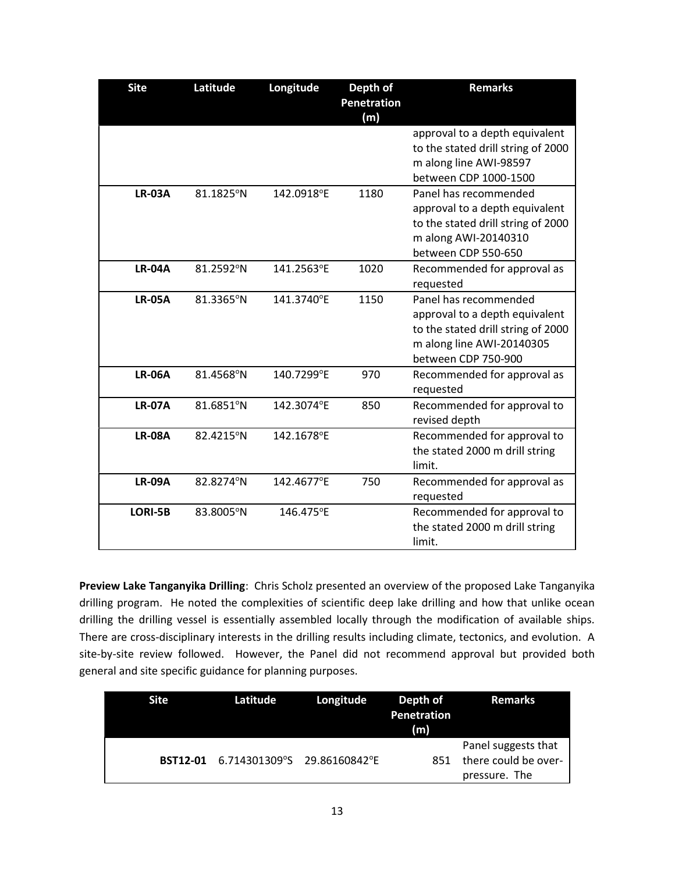| <b>Site</b>   | Latitude  | Longitude  | Depth of<br><b>Penetration</b><br>(m) | <b>Remarks</b>                                                                                                                                    |
|---------------|-----------|------------|---------------------------------------|---------------------------------------------------------------------------------------------------------------------------------------------------|
|               |           |            |                                       | approval to a depth equivalent<br>to the stated drill string of 2000<br>m along line AWI-98597<br>between CDP 1000-1500                           |
| <b>LR-03A</b> | 81.1825°N | 142.0918°E | 1180                                  | Panel has recommended<br>approval to a depth equivalent<br>to the stated drill string of 2000<br>m along AWI-20140310<br>between CDP 550-650      |
| <b>LR-04A</b> | 81.2592°N | 141.2563°E | 1020                                  | Recommended for approval as<br>requested                                                                                                          |
| <b>LR-05A</b> | 81.3365°N | 141.3740°E | 1150                                  | Panel has recommended<br>approval to a depth equivalent<br>to the stated drill string of 2000<br>m along line AWI-20140305<br>between CDP 750-900 |
| <b>LR-06A</b> | 81.4568°N | 140.7299°E | 970                                   | Recommended for approval as<br>requested                                                                                                          |
| <b>LR-07A</b> | 81.6851°N | 142.3074°E | 850                                   | Recommended for approval to<br>revised depth                                                                                                      |
| <b>LR-08A</b> | 82.4215°N | 142.1678°E |                                       | Recommended for approval to<br>the stated 2000 m drill string<br>limit.                                                                           |
| <b>LR-09A</b> | 82.8274°N | 142.4677°E | 750                                   | Recommended for approval as<br>requested                                                                                                          |
| LORI-5B       | 83.8005°N | 146.475°E  |                                       | Recommended for approval to<br>the stated 2000 m drill string<br>limit.                                                                           |

Preview Lake Tanganyika Drilling: Chris Scholz presented an overview of the proposed Lake Tanganyika drilling program. He noted the complexities of scientific deep lake drilling and how that unlike ocean drilling the drilling vessel is essentially assembled locally through the modification of available ships. There are cross-disciplinary interests in the drilling results including climate, tectonics, and evolution. A site-by-site review followed. However, the Panel did not recommend approval but provided both general and site specific guidance for planning purposes.

| Site | Latitude                                    | Longitude | Depth of<br><b>Penetration</b><br>(m) | <b>Remarks</b>                                               |
|------|---------------------------------------------|-----------|---------------------------------------|--------------------------------------------------------------|
|      | <b>BST12-01</b> 6.714301309°S 29.86160842°E |           | 851                                   | Panel suggests that<br>there could be over-<br>pressure. The |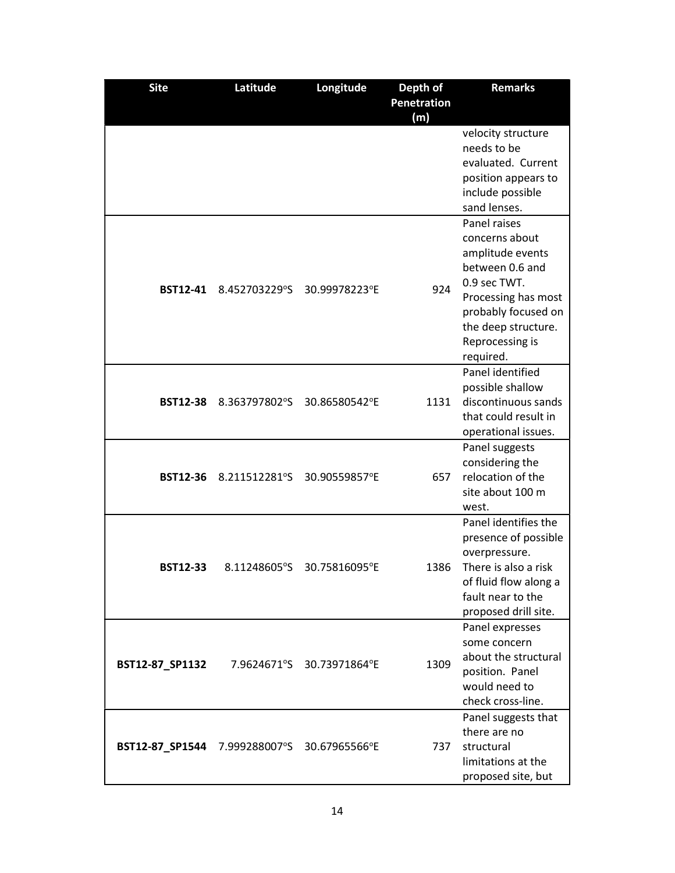| <b>Site</b>                                 | Latitude      | Longitude                 | Depth of    | <b>Remarks</b>                      |
|---------------------------------------------|---------------|---------------------------|-------------|-------------------------------------|
|                                             |               |                           | Penetration |                                     |
|                                             |               |                           | (m)         |                                     |
|                                             |               |                           |             | velocity structure                  |
|                                             |               |                           |             | needs to be                         |
|                                             |               |                           |             | evaluated. Current                  |
|                                             |               |                           |             | position appears to                 |
|                                             |               |                           |             | include possible                    |
|                                             |               |                           |             | sand lenses.                        |
|                                             |               |                           |             | Panel raises                        |
|                                             |               |                           |             | concerns about                      |
|                                             |               |                           |             | amplitude events                    |
|                                             |               |                           |             | between 0.6 and                     |
| <b>BST12-41</b>                             | 8.452703229°S | 30.99978223°E             | 924         | 0.9 sec TWT.                        |
|                                             |               |                           |             | Processing has most                 |
|                                             |               |                           |             | probably focused on                 |
|                                             |               |                           |             | the deep structure.                 |
|                                             |               |                           |             | Reprocessing is                     |
|                                             |               |                           |             | required.                           |
|                                             |               |                           |             | Panel identified                    |
|                                             |               |                           |             | possible shallow                    |
| <b>BST12-38</b>                             | 8.363797802°S | 30.86580542°E             | 1131        | discontinuous sands                 |
|                                             |               |                           |             | that could result in                |
|                                             |               |                           |             | operational issues.                 |
|                                             |               |                           |             | Panel suggests                      |
|                                             |               |                           |             | considering the                     |
| <b>BST12-36</b>                             | 8.211512281°S | 30.90559857°E             | 657         | relocation of the                   |
|                                             |               |                           |             | site about 100 m                    |
|                                             |               |                           |             | west.                               |
|                                             |               |                           |             | Panel identifies the                |
|                                             |               |                           |             | presence of possible                |
|                                             |               |                           |             | overpressure.                       |
| <b>BST12-33</b>                             | 8.11248605°S  | 30.75816095°E             | 1386        | There is also a risk                |
|                                             |               |                           |             | of fluid flow along a               |
|                                             |               |                           |             | fault near to the                   |
|                                             |               |                           |             | proposed drill site.                |
|                                             |               |                           |             | Panel expresses                     |
|                                             |               |                           |             | some concern                        |
| BST12-87_SP1132                             |               | 7.9624671°S 30.73971864°E | 1309        | about the structural                |
|                                             |               |                           |             | position. Panel                     |
|                                             |               |                           |             | would need to                       |
|                                             |               |                           |             | check cross-line.                   |
|                                             |               |                           |             | Panel suggests that<br>there are no |
|                                             |               |                           | 737         | structural                          |
| BST12-87_SP1544 7.999288007°S 30.67965566°E |               |                           |             | limitations at the                  |
|                                             |               |                           |             |                                     |
|                                             |               |                           |             | proposed site, but                  |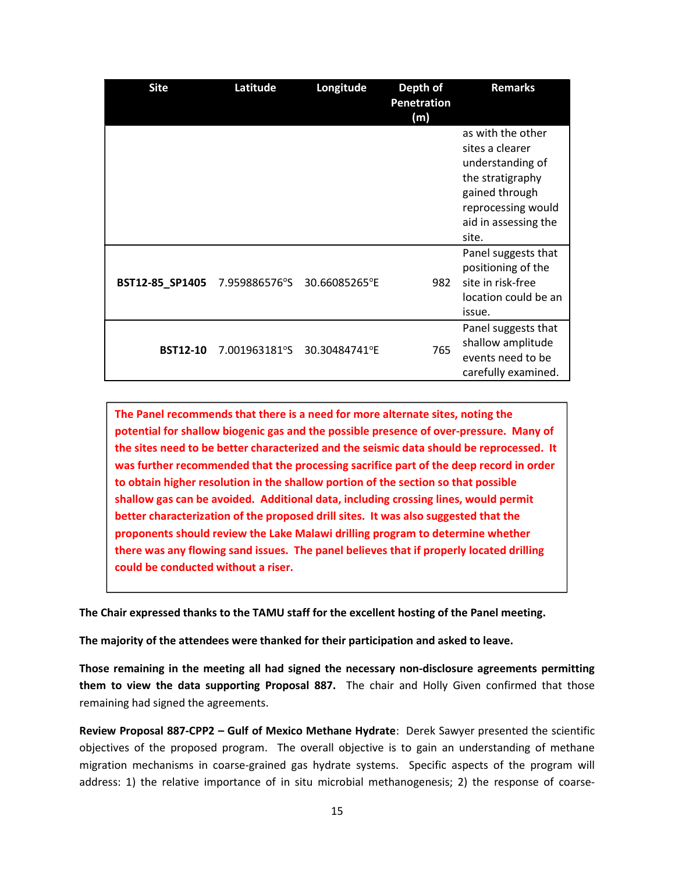| <b>Site</b>     | Latitude      | Longitude     | Depth of<br><b>Penetration</b><br>(m) | <b>Remarks</b>                                                                                                                                        |
|-----------------|---------------|---------------|---------------------------------------|-------------------------------------------------------------------------------------------------------------------------------------------------------|
|                 |               |               |                                       | as with the other<br>sites a clearer<br>understanding of<br>the stratigraphy<br>gained through<br>reprocessing would<br>aid in assessing the<br>site. |
| BST12-85_SP1405 | 7.959886576°S | 30.66085265°E | 982                                   | Panel suggests that<br>positioning of the<br>site in risk-free<br>location could be an<br>issue.                                                      |
| <b>BST12-10</b> | 7.001963181°S | 30.30484741°E | 765                                   | Panel suggests that<br>shallow amplitude<br>events need to be<br>carefully examined.                                                                  |

The Panel recommends that there is a need for more alternate sites, noting the potential for shallow biogenic gas and the possible presence of over-pressure. Many of the sites need to be better characterized and the seismic data should be reprocessed. It was further recommended that the processing sacrifice part of the deep record in order to obtain higher resolution in the shallow portion of the section so that possible shallow gas can be avoided. Additional data, including crossing lines, would permit better characterization of the proposed drill sites. It was also suggested that the proponents should review the Lake Malawi drilling program to determine whether there was any flowing sand issues. The panel believes that if properly located drilling could be conducted without a riser.

The Chair expressed thanks to the TAMU staff for the excellent hosting of the Panel meeting.

The majority of the attendees were thanked for their participation and asked to leave.

Those remaining in the meeting all had signed the necessary non-disclosure agreements permitting them to view the data supporting Proposal 887. The chair and Holly Given confirmed that those remaining had signed the agreements.

Review Proposal 887-CPP2 – Gulf of Mexico Methane Hydrate: Derek Sawyer presented the scientific objectives of the proposed program. The overall objective is to gain an understanding of methane migration mechanisms in coarse-grained gas hydrate systems. Specific aspects of the program will address: 1) the relative importance of in situ microbial methanogenesis; 2) the response of coarse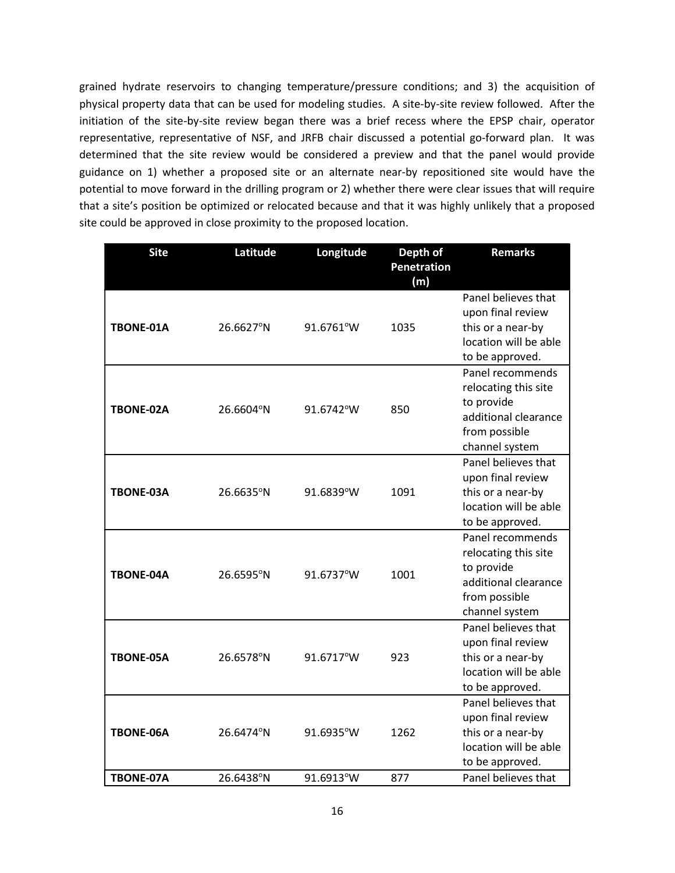grained hydrate reservoirs to changing temperature/pressure conditions; and 3) the acquisition of physical property data that can be used for modeling studies. A site-by-site review followed. After the initiation of the site-by-site review began there was a brief recess where the EPSP chair, operator representative, representative of NSF, and JRFB chair discussed a potential go-forward plan. It was determined that the site review would be considered a preview and that the panel would provide guidance on 1) whether a proposed site or an alternate near-by repositioned site would have the potential to move forward in the drilling program or 2) whether there were clear issues that will require that a site's position be optimized or relocated because and that it was highly unlikely that a proposed site could be approved in close proximity to the proposed location.

| <b>Site</b>      | Latitude  | Longitude | Depth of           | <b>Remarks</b>        |
|------------------|-----------|-----------|--------------------|-----------------------|
|                  |           |           | <b>Penetration</b> |                       |
|                  |           |           | (m)                |                       |
| TBONE-01A        | 26.6627°N | 91.6761°W | 1035               | Panel believes that   |
|                  |           |           |                    | upon final review     |
|                  |           |           |                    | this or a near-by     |
|                  |           |           |                    | location will be able |
|                  |           |           |                    | to be approved.       |
|                  | 26.6604°N | 91.6742°W | 850                | Panel recommends      |
|                  |           |           |                    | relocating this site  |
| TBONE-02A        |           |           |                    | to provide            |
|                  |           |           |                    | additional clearance  |
|                  |           |           |                    | from possible         |
|                  |           |           |                    | channel system        |
|                  | 26.6635°N | 91.6839°W | 1091               | Panel believes that   |
| <b>TBONE-03A</b> |           |           |                    | upon final review     |
|                  |           |           |                    | this or a near-by     |
|                  |           |           |                    | location will be able |
|                  |           |           |                    | to be approved.       |
|                  | 26.6595°N | 91.6737°W | 1001               | Panel recommends      |
| <b>TBONE-04A</b> |           |           |                    | relocating this site  |
|                  |           |           |                    | to provide            |
|                  |           |           |                    | additional clearance  |
|                  |           |           |                    | from possible         |
|                  |           |           |                    | channel system        |
| TBONE-05A        | 26.6578°N | 91.6717°W | 923                | Panel believes that   |
|                  |           |           |                    | upon final review     |
|                  |           |           |                    | this or a near-by     |
|                  |           |           |                    | location will be able |
|                  |           |           |                    | to be approved.       |
|                  |           |           |                    | Panel believes that   |
| TBONE-06A        | 26.6474°N | 91.6935°W | 1262               | upon final review     |
|                  |           |           |                    | this or a near-by     |
|                  |           |           |                    | location will be able |
|                  |           |           |                    | to be approved.       |
| TBONE-07A        | 26.6438°N | 91.6913°W | 877                | Panel believes that   |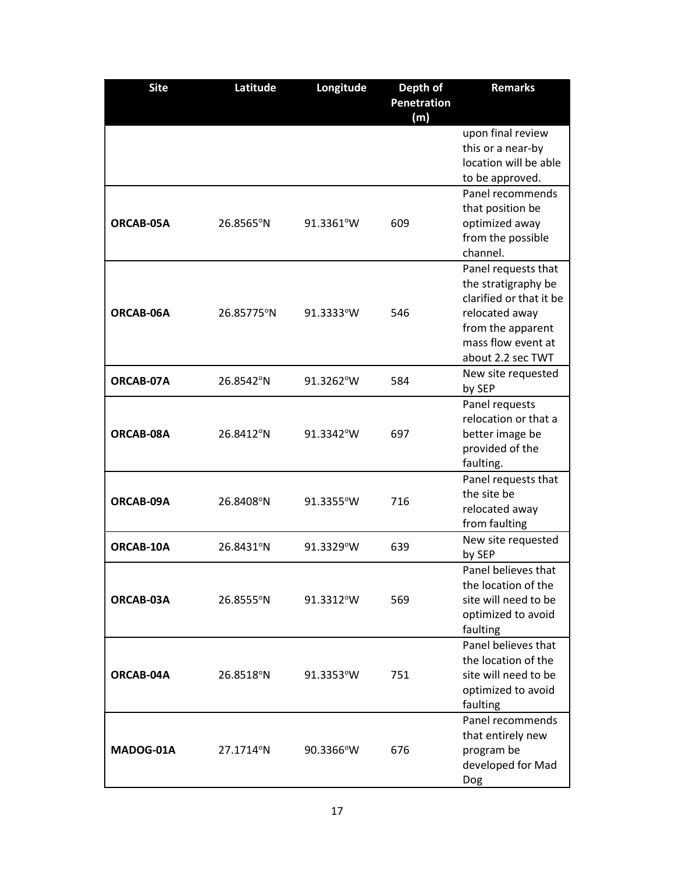| <b>Site</b> | Latitude   | Longitude | Depth of           | <b>Remarks</b>          |
|-------------|------------|-----------|--------------------|-------------------------|
|             |            |           | <b>Penetration</b> |                         |
|             |            |           | (m)                |                         |
|             |            |           |                    | upon final review       |
|             |            |           |                    | this or a near-by       |
|             |            |           |                    | location will be able   |
|             |            |           |                    | to be approved.         |
|             |            |           |                    | Panel recommends        |
|             | 26.8565°N  | 91.3361°W | 609                | that position be        |
| ORCAB-05A   |            |           |                    | optimized away          |
|             |            |           |                    | from the possible       |
|             |            |           |                    | channel.                |
|             |            |           |                    | Panel requests that     |
|             |            |           |                    | the stratigraphy be     |
|             |            | 91.3333°W | 546                | clarified or that it be |
| ORCAB-06A   | 26.85775°N |           |                    | relocated away          |
|             |            |           |                    | from the apparent       |
|             |            |           |                    | mass flow event at      |
|             |            |           |                    | about 2.2 sec TWT       |
| ORCAB-07A   | 26.8542°N  | 91.3262°W | 584                | New site requested      |
|             |            |           |                    | by SEP                  |
|             |            |           |                    | Panel requests          |
|             |            |           | 697                | relocation or that a    |
| ORCAB-08A   | 26.8412°N  | 91.3342°W |                    | better image be         |
|             |            |           |                    | provided of the         |
|             |            |           |                    | faulting.               |
|             |            |           |                    | Panel requests that     |
| ORCAB-09A   | 26.8408°N  | 91.3355°W | 716                | the site be             |
|             |            |           |                    | relocated away          |
|             |            |           |                    | from faulting           |
| ORCAB-10A   | 26.8431°N  | 91.3329°W | 639                | New site requested      |
|             |            |           |                    | by SEP                  |
|             |            |           |                    | Panel believes that     |
|             |            |           |                    | the location of the     |
| ORCAB-03A   | 26.8555°N  | 91.3312°W | 569                | site will need to be    |
|             |            |           |                    | optimized to avoid      |
|             |            |           |                    | faulting                |
|             |            |           |                    | Panel believes that     |
|             |            |           |                    | the location of the     |
| ORCAB-04A   | 26.8518°N  | 91.3353°W | 751                | site will need to be    |
|             |            |           |                    | optimized to avoid      |
|             |            |           |                    | faulting                |
|             |            |           |                    | Panel recommends        |
|             |            |           |                    | that entirely new       |
| MADOG-01A   | 27.1714°N  | 90.3366°W | 676                | program be              |
|             |            |           |                    | developed for Mad       |
|             |            |           |                    | Dog                     |